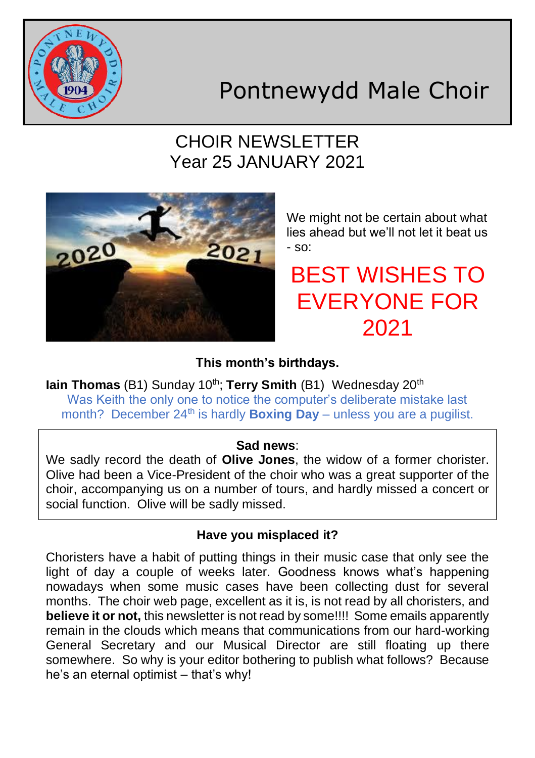

# Pontnewydd Male Choir

## CHOIR NEWSLETTER Year 25 JANUARY 2021



We might not be certain about what lies ahead but we'll not let it beat us - so:

BEST WISHES TO EVERYONE FOR 2021

**This month's birthdays.**

**Iain Thomas** (B1) Sunday 10<sup>th</sup>; **Terry Smith** (B1) Wednesday 20<sup>th</sup> Was Keith the only one to notice the computer's deliberate mistake last month? December 24<sup>th</sup> is hardly **Boxing Day** – unless you are a pugilist.

### **Sad news**:

We sadly record the death of **Olive Jones**, the widow of a former chorister. Olive had been a Vice-President of the choir who was a great supporter of the choir, accompanying us on a number of tours, and hardly missed a concert or social function. Olive will be sadly missed.

### **Have you misplaced it?**

Choristers have a habit of putting things in their music case that only see the light of day a couple of weeks later. Goodness knows what's happening nowadays when some music cases have been collecting dust for several months. The choir web page, excellent as it is, is not read by all choristers, and **believe it or not,** this newsletter is not read by some!!!! Some emails apparently remain in the clouds which means that communications from our hard-working General Secretary and our Musical Director are still floating up there somewhere. So why is your editor bothering to publish what follows? Because he's an eternal optimist – that's why!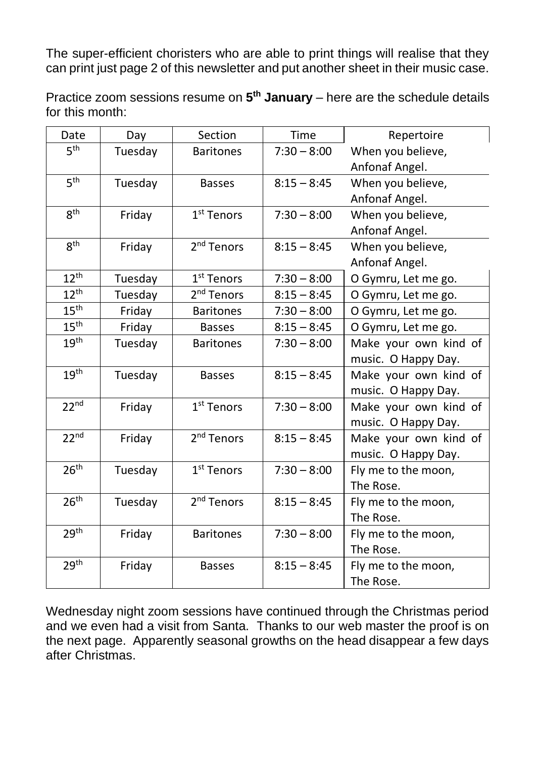The super-efficient choristers who are able to print things will realise that they can print just page 2 of this newsletter and put another sheet in their music case.

Practice zoom sessions resume on **5 th January** – here are the schedule details for this month:

| Date             | Day     | Section                | Time          | Repertoire            |
|------------------|---------|------------------------|---------------|-----------------------|
| 5 <sup>th</sup>  | Tuesday | <b>Baritones</b>       | $7:30 - 8:00$ | When you believe,     |
|                  |         |                        |               | Anfonaf Angel.        |
| 5 <sup>th</sup>  | Tuesday | <b>Basses</b>          | $8:15 - 8:45$ | When you believe,     |
|                  |         |                        |               | Anfonaf Angel.        |
| 8 <sup>th</sup>  | Friday  | 1 <sup>st</sup> Tenors | $7:30 - 8:00$ | When you believe,     |
|                  |         |                        |               | Anfonaf Angel.        |
| 8 <sup>th</sup>  | Friday  | 2 <sup>nd</sup> Tenors | $8:15 - 8:45$ | When you believe,     |
|                  |         |                        |               | Anfonaf Angel.        |
| $12^{th}$        | Tuesday | 1 <sup>st</sup> Tenors | $7:30 - 8:00$ | O Gymru, Let me go.   |
| $12^{th}$        | Tuesday | 2 <sup>nd</sup> Tenors | $8:15 - 8:45$ | O Gymru, Let me go.   |
| 15 <sup>th</sup> | Friday  | <b>Baritones</b>       | $7:30 - 8:00$ | O Gymru, Let me go.   |
| 15 <sup>th</sup> | Friday  | <b>Basses</b>          | $8:15 - 8:45$ | O Gymru, Let me go.   |
| 19 <sup>th</sup> | Tuesday | <b>Baritones</b>       | $7:30 - 8:00$ | Make your own kind of |
|                  |         |                        |               | music. O Happy Day.   |
| 19 <sup>th</sup> | Tuesday | <b>Basses</b>          | $8:15 - 8:45$ | Make your own kind of |
|                  |         |                        |               | music. O Happy Day.   |
| 22 <sup>nd</sup> | Friday  | $1st$ Tenors           | $7:30 - 8:00$ | Make your own kind of |
|                  |         |                        |               | music. O Happy Day.   |
| 22 <sup>nd</sup> | Friday  | 2 <sup>nd</sup> Tenors | $8:15 - 8:45$ | Make your own kind of |
|                  |         |                        |               | music. O Happy Day.   |
| 26 <sup>th</sup> | Tuesday | $1st$ Tenors           | $7:30 - 8:00$ | Fly me to the moon,   |
|                  |         |                        |               | The Rose.             |
| 26 <sup>th</sup> | Tuesday | 2 <sup>nd</sup> Tenors | $8:15 - 8:45$ | Fly me to the moon,   |
|                  |         |                        |               | The Rose.             |
| 29 <sup>th</sup> | Friday  | <b>Baritones</b>       | $7:30 - 8:00$ | Fly me to the moon,   |
|                  |         |                        |               | The Rose.             |
| 29 <sup>th</sup> | Friday  | <b>Basses</b>          | $8:15 - 8:45$ | Fly me to the moon,   |
|                  |         |                        |               | The Rose.             |

Wednesday night zoom sessions have continued through the Christmas period and we even had a visit from Santa. Thanks to our web master the proof is on the next page. Apparently seasonal growths on the head disappear a few days after Christmas.